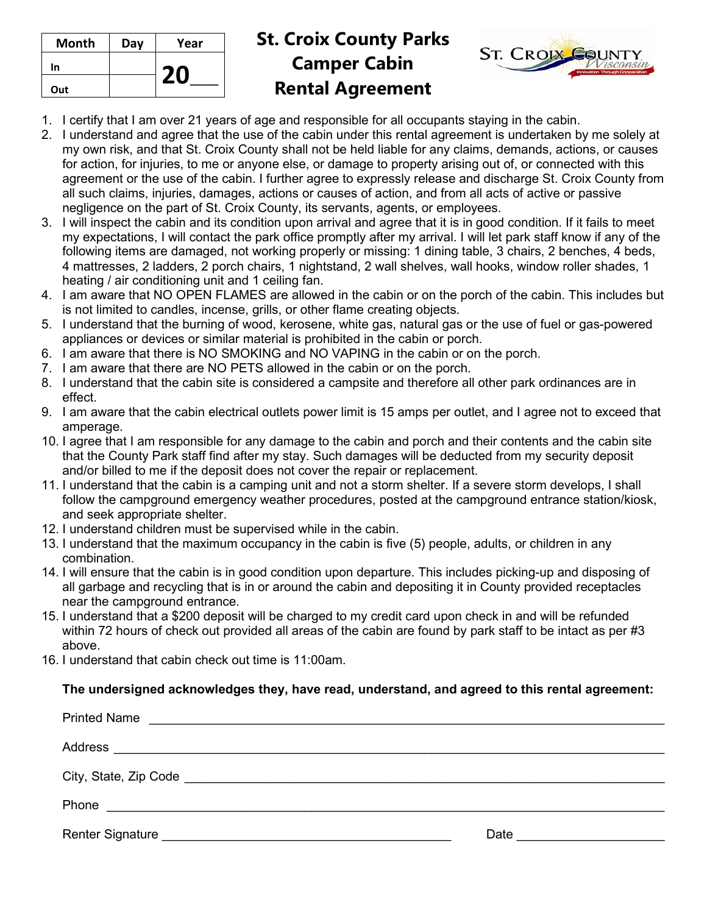| Month | Day | Year |
|-------|-----|------|
| In    |     |      |
| Out   |     | ΖU   |

## **St. Croix County Parks Camper Cabin Rental Agreement**



- 1. I certify that I am over 21 years of age and responsible for all occupants staying in the cabin.
- 2. I understand and agree that the use of the cabin under this rental agreement is undertaken by me solely at my own risk, and that St. Croix County shall not be held liable for any claims, demands, actions, or causes for action, for injuries, to me or anyone else, or damage to property arising out of, or connected with this agreement or the use of the cabin. I further agree to expressly release and discharge St. Croix County from all such claims, injuries, damages, actions or causes of action, and from all acts of active or passive negligence on the part of St. Croix County, its servants, agents, or employees.
- 3. I will inspect the cabin and its condition upon arrival and agree that it is in good condition. If it fails to meet my expectations, I will contact the park office promptly after my arrival. I will let park staff know if any of the following items are damaged, not working properly or missing: 1 dining table, 3 chairs, 2 benches, 4 beds, 4 mattresses, 2 ladders, 2 porch chairs, 1 nightstand, 2 wall shelves, wall hooks, window roller shades, 1 heating / air conditioning unit and 1 ceiling fan.
- 4. I am aware that NO OPEN FLAMES are allowed in the cabin or on the porch of the cabin. This includes but is not limited to candles, incense, grills, or other flame creating objects.
- 5. I understand that the burning of wood, kerosene, white gas, natural gas or the use of fuel or gas-powered appliances or devices or similar material is prohibited in the cabin or porch.
- 6. I am aware that there is NO SMOKING and NO VAPING in the cabin or on the porch.
- 7. I am aware that there are NO PETS allowed in the cabin or on the porch.
- 8. I understand that the cabin site is considered a campsite and therefore all other park ordinances are in effect.
- 9. I am aware that the cabin electrical outlets power limit is 15 amps per outlet, and I agree not to exceed that amperage.
- 10. I agree that I am responsible for any damage to the cabin and porch and their contents and the cabin site that the County Park staff find after my stay. Such damages will be deducted from my security deposit and/or billed to me if the deposit does not cover the repair or replacement.
- 11. I understand that the cabin is a camping unit and not a storm shelter. If a severe storm develops, I shall follow the campground emergency weather procedures, posted at the campground entrance station/kiosk, and seek appropriate shelter.
- 12. I understand children must be supervised while in the cabin.
- 13. I understand that the maximum occupancy in the cabin is five (5) people, adults, or children in any combination.
- 14. I will ensure that the cabin is in good condition upon departure. This includes picking-up and disposing of all garbage and recycling that is in or around the cabin and depositing it in County provided receptacles near the campground entrance.
- 15. I understand that a \$200 deposit will be charged to my credit card upon check in and will be refunded within 72 hours of check out provided all areas of the cabin are found by park staff to be intact as per #3 above.
- 16. I understand that cabin check out time is 11:00am.

## **The undersigned acknowledges they, have read, understand, and agreed to this rental agreement:**

| <b>Printed Name</b>                                                                                            |      |
|----------------------------------------------------------------------------------------------------------------|------|
|                                                                                                                |      |
| City, State, Zip Code No. 2008 2009 10:00:00 10:00:00 10:00:00 10:00:00 10:00:00 10:00:00 10:00:00 10:00:00 10 |      |
| Phone<br><u> 1980 - Andrea Brasil, amerikan bizi bashkar a shekara t</u>                                       |      |
| <b>Renter Signature</b>                                                                                        | Date |